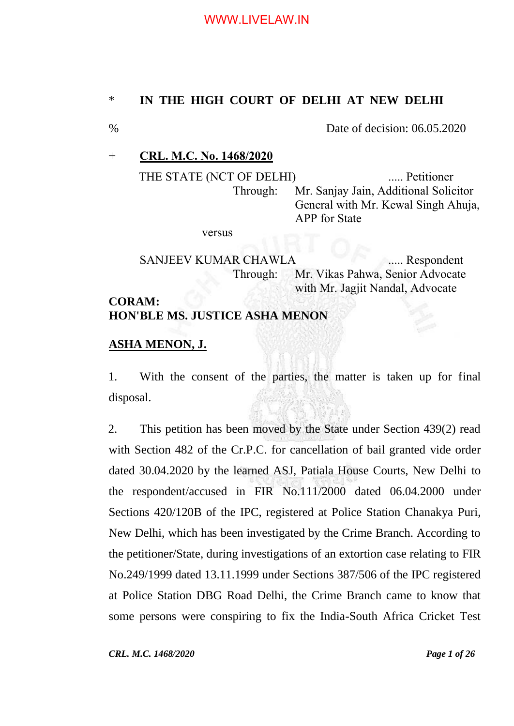## \* **IN THE HIGH COURT OF DELHI AT NEW DELHI**

## % Date of decision: 06.05.2020

### + **CRL. M.C. No. 1468/2020**

THE STATE (NCT OF DELHI) ...... Petitioner Through: Mr. Sanjay Jain, Additional Solicitor General with Mr. Kewal Singh Ahuja, APP for State

versus

SANJEEV KUMAR CHAWLA ...... Respondent Through: Mr. Vikas Pahwa, Senior Advocate with Mr. Jagjit Nandal, Advocate

# **CORAM: HON'BLE MS. JUSTICE ASHA MENON**

#### **ASHA MENON, J.**

1. With the consent of the parties, the matter is taken up for final disposal.

2. This petition has been moved by the State under Section 439(2) read with Section 482 of the Cr.P.C. for cancellation of bail granted vide order dated 30.04.2020 by the learned ASJ, Patiala House Courts, New Delhi to the respondent/accused in FIR No.111/2000 dated 06.04.2000 under Sections 420/120B of the IPC, registered at Police Station Chanakya Puri, New Delhi, which has been investigated by the Crime Branch. According to the petitioner/State, during investigations of an extortion case relating to FIR No.249/1999 dated 13.11.1999 under Sections 387/506 of the IPC registered at Police Station DBG Road Delhi, the Crime Branch came to know that some persons were conspiring to fix the India-South Africa Cricket Test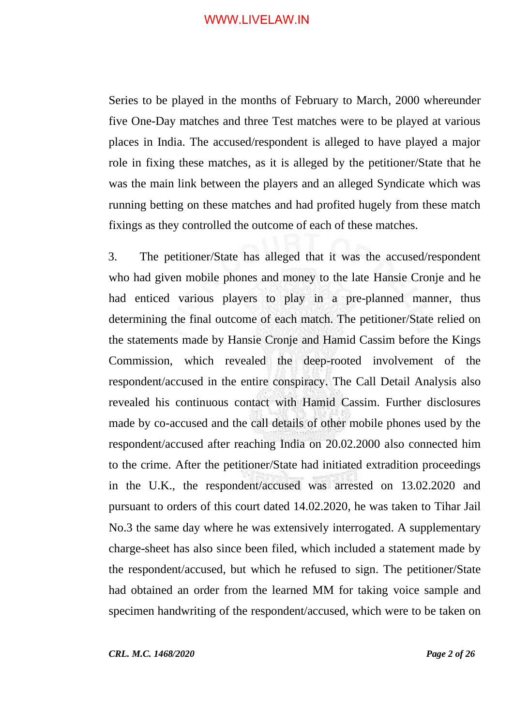Series to be played in the months of February to March, 2000 whereunder five One-Day matches and three Test matches were to be played at various places in India. The accused/respondent is alleged to have played a major role in fixing these matches, as it is alleged by the petitioner/State that he was the main link between the players and an alleged Syndicate which was running betting on these matches and had profited hugely from these match fixings as they controlled the outcome of each of these matches.

3. The petitioner/State has alleged that it was the accused/respondent who had given mobile phones and money to the late Hansie Cronje and he had enticed various players to play in a pre-planned manner, thus determining the final outcome of each match. The petitioner/State relied on the statements made by Hansie Cronje and Hamid Cassim before the Kings Commission, which revealed the deep-rooted involvement of the respondent/accused in the entire conspiracy. The Call Detail Analysis also revealed his continuous contact with Hamid Cassim. Further disclosures made by co-accused and the call details of other mobile phones used by the respondent/accused after reaching India on 20.02.2000 also connected him to the crime. After the petitioner/State had initiated extradition proceedings in the U.K., the respondent/accused was arrested on 13.02.2020 and pursuant to orders of this court dated 14.02.2020, he was taken to Tihar Jail No.3 the same day where he was extensively interrogated. A supplementary charge-sheet has also since been filed, which included a statement made by the respondent/accused, but which he refused to sign. The petitioner/State had obtained an order from the learned MM for taking voice sample and specimen handwriting of the respondent/accused, which were to be taken on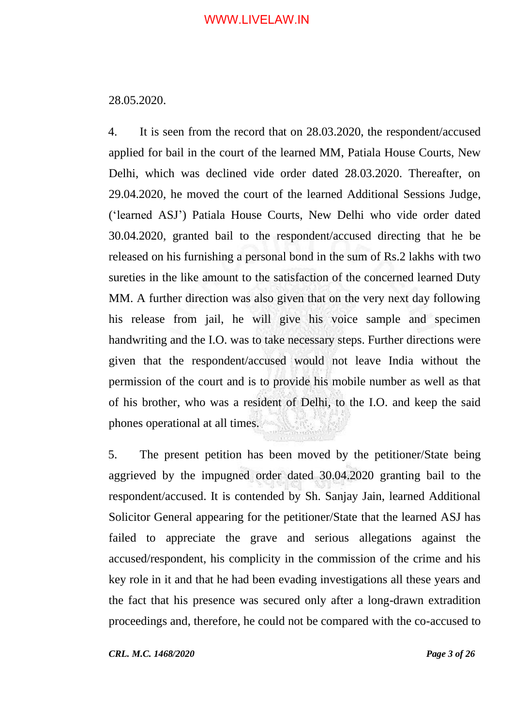#### 28.05.2020.

4. It is seen from the record that on 28.03.2020, the respondent/accused applied for bail in the court of the learned MM, Patiala House Courts, New Delhi, which was declined vide order dated 28.03.2020. Thereafter, on 29.04.2020, he moved the court of the learned Additional Sessions Judge, ('learned ASJ') Patiala House Courts, New Delhi who vide order dated 30.04.2020, granted bail to the respondent/accused directing that he be released on his furnishing a personal bond in the sum of Rs.2 lakhs with two sureties in the like amount to the satisfaction of the concerned learned Duty MM. A further direction was also given that on the very next day following his release from jail, he will give his voice sample and specimen handwriting and the I.O. was to take necessary steps. Further directions were given that the respondent/accused would not leave India without the permission of the court and is to provide his mobile number as well as that of his brother, who was a resident of Delhi, to the I.O. and keep the said phones operational at all times.

5. The present petition has been moved by the petitioner/State being aggrieved by the impugned order dated 30.04.2020 granting bail to the respondent/accused. It is contended by Sh. Sanjay Jain, learned Additional Solicitor General appearing for the petitioner/State that the learned ASJ has failed to appreciate the grave and serious allegations against the accused/respondent, his complicity in the commission of the crime and his key role in it and that he had been evading investigations all these years and the fact that his presence was secured only after a long-drawn extradition proceedings and, therefore, he could not be compared with the co-accused to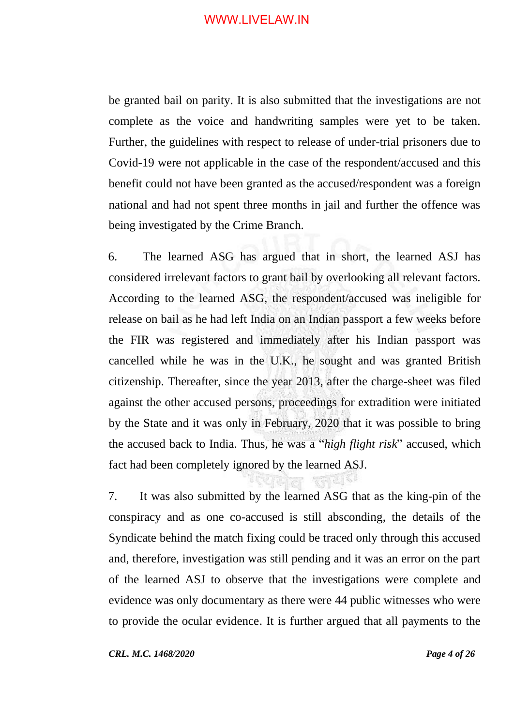be granted bail on parity. It is also submitted that the investigations are not complete as the voice and handwriting samples were yet to be taken. Further, the guidelines with respect to release of under-trial prisoners due to Covid-19 were not applicable in the case of the respondent/accused and this benefit could not have been granted as the accused/respondent was a foreign national and had not spent three months in jail and further the offence was being investigated by the Crime Branch.

6. The learned ASG has argued that in short, the learned ASJ has considered irrelevant factors to grant bail by overlooking all relevant factors. According to the learned ASG, the respondent/accused was ineligible for release on bail as he had left India on an Indian passport a few weeks before the FIR was registered and immediately after his Indian passport was cancelled while he was in the U.K., he sought and was granted British citizenship. Thereafter, since the year 2013, after the charge-sheet was filed against the other accused persons, proceedings for extradition were initiated by the State and it was only in February, 2020 that it was possible to bring the accused back to India. Thus, he was a "*high flight risk*" accused, which fact had been completely ignored by the learned ASJ.

7. It was also submitted by the learned ASG that as the king-pin of the conspiracy and as one co-accused is still absconding, the details of the Syndicate behind the match fixing could be traced only through this accused and, therefore, investigation was still pending and it was an error on the part of the learned ASJ to observe that the investigations were complete and evidence was only documentary as there were 44 public witnesses who were to provide the ocular evidence. It is further argued that all payments to the

*CRL. M.C. 1468/2020 Page 4 of 26*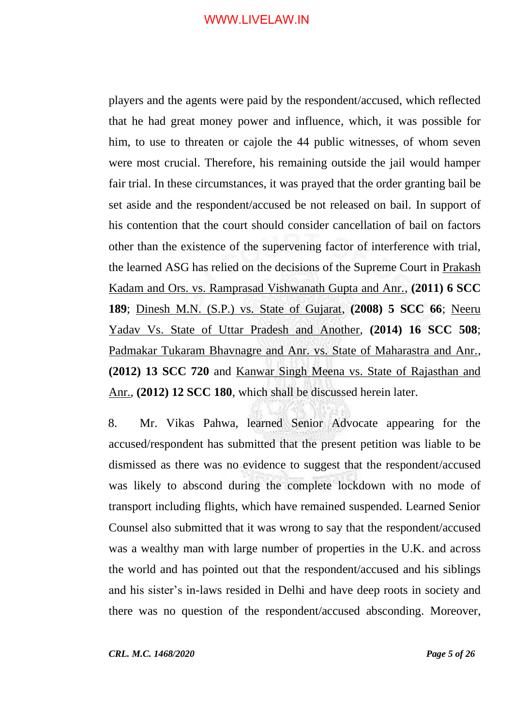players and the agents were paid by the respondent/accused, which reflected that he had great money power and influence, which, it was possible for him, to use to threaten or cajole the 44 public witnesses, of whom seven were most crucial. Therefore, his remaining outside the jail would hamper fair trial. In these circumstances, it was prayed that the order granting bail be set aside and the respondent/accused be not released on bail. In support of his contention that the court should consider cancellation of bail on factors other than the existence of the supervening factor of interference with trial, the learned ASG has relied on the decisions of the Supreme Court in Prakash Kadam and Ors. vs. Ramprasad Vishwanath Gupta and Anr., **(2011) 6 SCC 189**; Dinesh M.N. (S.P.) vs. State of Gujarat, **(2008) 5 SCC 66**; Neeru Yadav Vs. State of Uttar Pradesh and Another, **(2014) 16 SCC 508**; Padmakar Tukaram Bhavnagre and Anr. vs. State of Maharastra and Anr., **(2012) 13 SCC 720** and Kanwar Singh Meena vs. State of Rajasthan and Anr., **(2012) 12 SCC 180**, which shall be discussed herein later.

8. Mr. Vikas Pahwa, learned Senior Advocate appearing for the accused/respondent has submitted that the present petition was liable to be dismissed as there was no evidence to suggest that the respondent/accused was likely to abscond during the complete lockdown with no mode of transport including flights, which have remained suspended. Learned Senior Counsel also submitted that it was wrong to say that the respondent/accused was a wealthy man with large number of properties in the U.K. and across the world and has pointed out that the respondent/accused and his siblings and his sister's in-laws resided in Delhi and have deep roots in society and there was no question of the respondent/accused absconding. Moreover,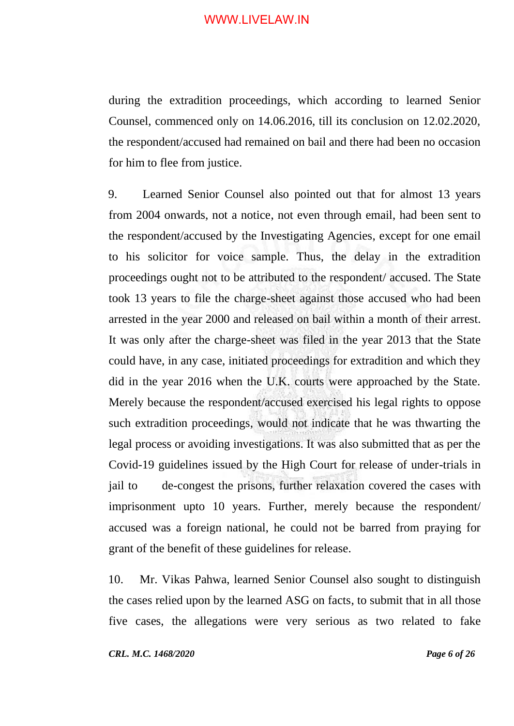during the extradition proceedings, which according to learned Senior Counsel, commenced only on 14.06.2016, till its conclusion on 12.02.2020, the respondent/accused had remained on bail and there had been no occasion for him to flee from justice.

9. Learned Senior Counsel also pointed out that for almost 13 years from 2004 onwards, not a notice, not even through email, had been sent to the respondent/accused by the Investigating Agencies, except for one email to his solicitor for voice sample. Thus, the delay in the extradition proceedings ought not to be attributed to the respondent/ accused. The State took 13 years to file the charge-sheet against those accused who had been arrested in the year 2000 and released on bail within a month of their arrest. It was only after the charge-sheet was filed in the year 2013 that the State could have, in any case, initiated proceedings for extradition and which they did in the year 2016 when the U.K. courts were approached by the State. Merely because the respondent/accused exercised his legal rights to oppose such extradition proceedings, would not indicate that he was thwarting the legal process or avoiding investigations. It was also submitted that as per the Covid-19 guidelines issued by the High Court for release of under-trials in jail to de-congest the prisons, further relaxation covered the cases with imprisonment upto 10 years. Further, merely because the respondent/ accused was a foreign national, he could not be barred from praying for grant of the benefit of these guidelines for release.

10. Mr. Vikas Pahwa, learned Senior Counsel also sought to distinguish the cases relied upon by the learned ASG on facts, to submit that in all those five cases, the allegations were very serious as two related to fake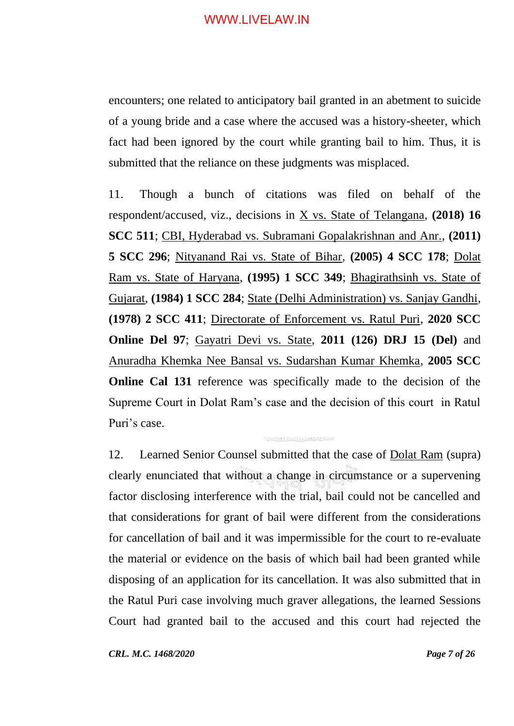encounters; one related to anticipatory bail granted in an abetment to suicide of a young bride and a case where the accused was a history-sheeter, which fact had been ignored by the court while granting bail to him. Thus, it is submitted that the reliance on these judgments was misplaced.

11. Though a bunch of citations was filed on behalf of the respondent/accused, viz., decisions in X vs. State of Telangana, **(2018) 16 SCC 511**; CBI, Hyderabad vs. Subramani Gopalakrishnan and Anr., **(2011) 5 SCC 296**; Nityanand Rai vs. State of Bihar, **(2005) 4 SCC 178**; Dolat Ram vs. State of Haryana, **(1995) 1 SCC 349**; Bhagirathsinh vs. State of Gujarat, **(1984) 1 SCC 284**; State (Delhi Administration) vs. Sanjay Gandhi, **(1978) 2 SCC 411**; Directorate of Enforcement vs. Ratul Puri, **2020 SCC Online Del 97**; Gayatri Devi vs. State, **2011 (126) DRJ 15 (Del)** and Anuradha Khemka Nee Bansal vs. Sudarshan Kumar Khemka, **2005 SCC Online Cal 131** reference was specifically made to the decision of the Supreme Court in Dolat Ram's case and the decision of this court in Ratul Puri's case.

12. Learned Senior Counsel submitted that the case of Dolat Ram (supra) clearly enunciated that without a change in circumstance or a supervening factor disclosing interference with the trial, bail could not be cancelled and that considerations for grant of bail were different from the considerations for cancellation of bail and it was impermissible for the court to re-evaluate the material or evidence on the basis of which bail had been granted while disposing of an application for its cancellation. It was also submitted that in the Ratul Puri case involving much graver allegations, the learned Sessions Court had granted bail to the accused and this court had rejected the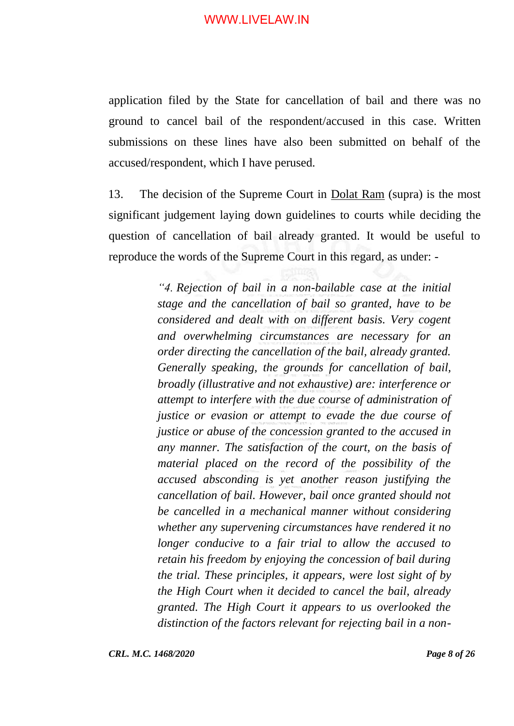application filed by the State for cancellation of bail and there was no ground to cancel bail of the respondent/accused in this case. Written submissions on these lines have also been submitted on behalf of the accused/respondent, which I have perused.

13. The decision of the Supreme Court in Dolat Ram (supra) is the most significant judgement laying down guidelines to courts while deciding the question of cancellation of bail already granted. It would be useful to reproduce the words of the Supreme Court in this regard, as under: -

> *"4. Rejection of bail in a non-bailable case at the initial stage and the cancellation of bail so granted, have to be considered and dealt with on different basis. Very cogent and overwhelming circumstances are necessary for an order directing the cancellation of the bail, already granted. Generally speaking, the grounds for cancellation of bail, broadly (illustrative and not exhaustive) are: interference or attempt to interfere with the due course of administration of justice or evasion or attempt to evade the due course of justice or abuse of the concession granted to the accused in any manner. The satisfaction of the court, on the basis of material placed on the record of the possibility of the accused absconding is yet another reason justifying the cancellation of bail. However, bail once granted should not be cancelled in a mechanical manner without considering whether any supervening circumstances have rendered it no longer conducive to a fair trial to allow the accused to retain his freedom by enjoying the concession of bail during the trial. These principles, it appears, were lost sight of by the High Court when it decided to cancel the bail, already granted. The High Court it appears to us overlooked the distinction of the factors relevant for rejecting bail in a non-*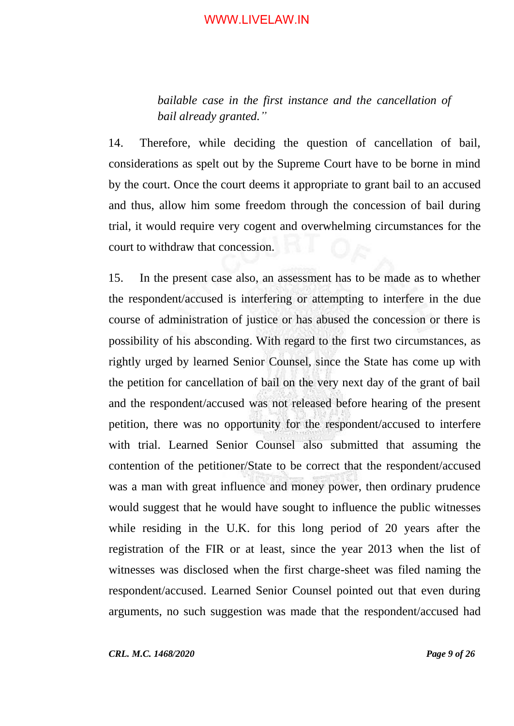*bailable case in the first instance and the cancellation of bail already granted."*

14. Therefore, while deciding the question of cancellation of bail, considerations as spelt out by the Supreme Court have to be borne in mind by the court. Once the court deems it appropriate to grant bail to an accused and thus, allow him some freedom through the concession of bail during trial, it would require very cogent and overwhelming circumstances for the court to withdraw that concession.

15. In the present case also, an assessment has to be made as to whether the respondent/accused is interfering or attempting to interfere in the due course of administration of justice or has abused the concession or there is possibility of his absconding. With regard to the first two circumstances, as rightly urged by learned Senior Counsel, since the State has come up with the petition for cancellation of bail on the very next day of the grant of bail and the respondent/accused was not released before hearing of the present petition, there was no opportunity for the respondent/accused to interfere with trial. Learned Senior Counsel also submitted that assuming the contention of the petitioner/State to be correct that the respondent/accused was a man with great influence and money power, then ordinary prudence would suggest that he would have sought to influence the public witnesses while residing in the U.K. for this long period of 20 years after the registration of the FIR or at least, since the year 2013 when the list of witnesses was disclosed when the first charge-sheet was filed naming the respondent/accused. Learned Senior Counsel pointed out that even during arguments, no such suggestion was made that the respondent/accused had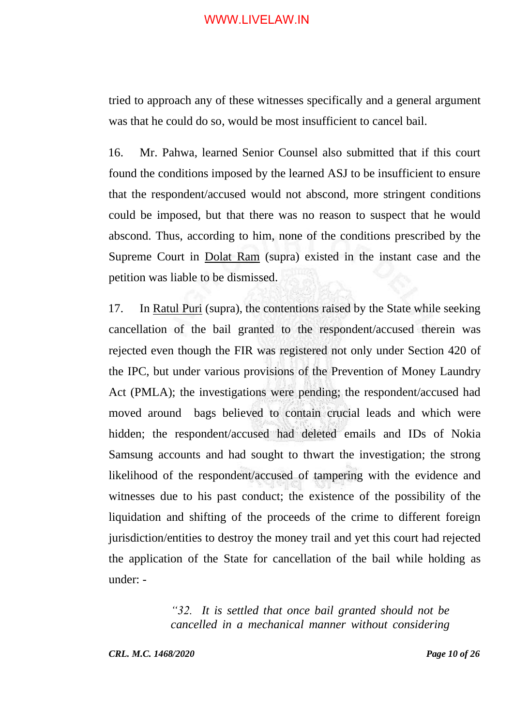tried to approach any of these witnesses specifically and a general argument was that he could do so, would be most insufficient to cancel bail.

16. Mr. Pahwa, learned Senior Counsel also submitted that if this court found the conditions imposed by the learned ASJ to be insufficient to ensure that the respondent/accused would not abscond, more stringent conditions could be imposed, but that there was no reason to suspect that he would abscond. Thus, according to him, none of the conditions prescribed by the Supreme Court in Dolat Ram (supra) existed in the instant case and the petition was liable to be dismissed.

17. In Ratul Puri (supra), the contentions raised by the State while seeking cancellation of the bail granted to the respondent/accused therein was rejected even though the FIR was registered not only under Section 420 of the IPC, but under various provisions of the Prevention of Money Laundry Act (PMLA); the investigations were pending; the respondent/accused had moved around bags believed to contain crucial leads and which were hidden; the respondent/accused had deleted emails and IDs of Nokia Samsung accounts and had sought to thwart the investigation; the strong likelihood of the respondent/accused of tampering with the evidence and witnesses due to his past conduct; the existence of the possibility of the liquidation and shifting of the proceeds of the crime to different foreign jurisdiction/entities to destroy the money trail and yet this court had rejected the application of the State for cancellation of the bail while holding as under: -

> *"32. It is settled that once bail granted should not be cancelled in a mechanical manner without considering*

*CRL. M.C. 1468/2020 Page 10 of 26*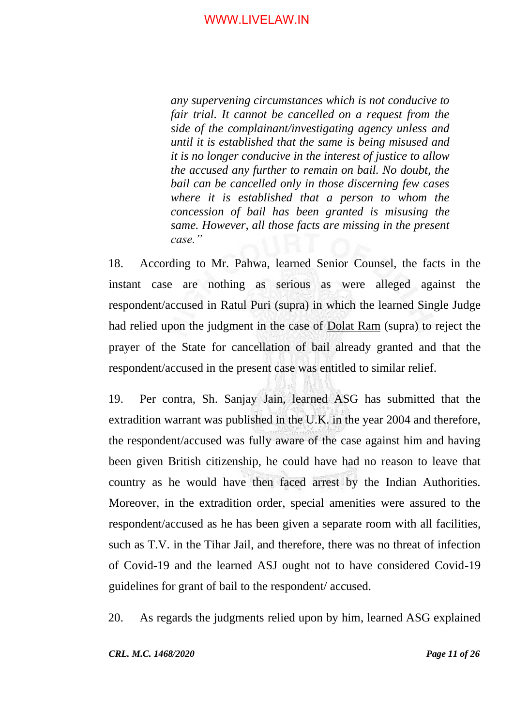*any supervening circumstances which is not conducive to fair trial. It cannot be cancelled on a request from the side of the complainant/investigating agency unless and until it is established that the same is being misused and it is no longer conducive in the interest of justice to allow the accused any further to remain on bail. No doubt, the bail can be cancelled only in those discerning few cases where it is established that a person to whom the concession of bail has been granted is misusing the same. However, all those facts are missing in the present case."*

18. According to Mr. Pahwa, learned Senior Counsel, the facts in the instant case are nothing as serious as were alleged against the respondent/accused in Ratul Puri (supra) in which the learned Single Judge had relied upon the judgment in the case of Dolat Ram (supra) to reject the prayer of the State for cancellation of bail already granted and that the respondent/accused in the present case was entitled to similar relief.

19. Per contra, Sh. Sanjay Jain, learned ASG has submitted that the extradition warrant was published in the U.K. in the year 2004 and therefore, the respondent/accused was fully aware of the case against him and having been given British citizenship, he could have had no reason to leave that country as he would have then faced arrest by the Indian Authorities. Moreover, in the extradition order, special amenities were assured to the respondent/accused as he has been given a separate room with all facilities, such as T.V. in the Tihar Jail, and therefore, there was no threat of infection of Covid-19 and the learned ASJ ought not to have considered Covid-19 guidelines for grant of bail to the respondent/ accused.

20. As regards the judgments relied upon by him, learned ASG explained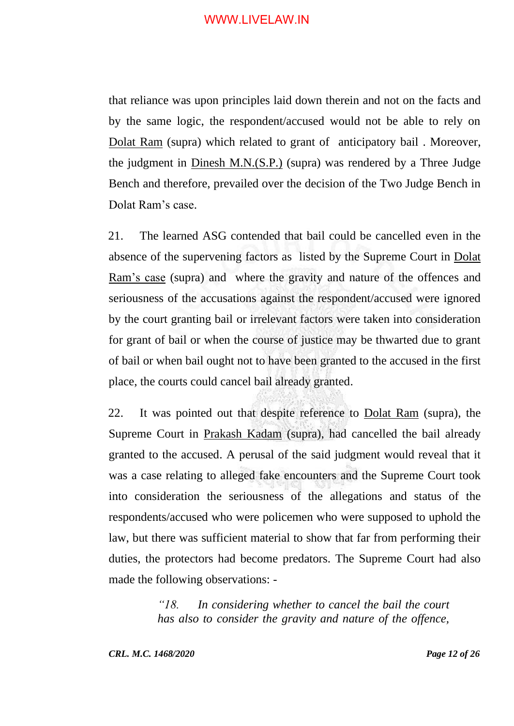that reliance was upon principles laid down therein and not on the facts and by the same logic, the respondent/accused would not be able to rely on Dolat Ram (supra) which related to grant of anticipatory bail . Moreover, the judgment in Dinesh M.N.(S.P.) (supra) was rendered by a Three Judge Bench and therefore, prevailed over the decision of the Two Judge Bench in Dolat Ram's case.

21. The learned ASG contended that bail could be cancelled even in the absence of the supervening factors as listed by the Supreme Court in Dolat Ram's case (supra) and where the gravity and nature of the offences and seriousness of the accusations against the respondent/accused were ignored by the court granting bail or irrelevant factors were taken into consideration for grant of bail or when the course of justice may be thwarted due to grant of bail or when bail ought not to have been granted to the accused in the first place, the courts could cancel bail already granted.

22. It was pointed out that despite reference to Dolat Ram (supra), the Supreme Court in Prakash Kadam (supra), had cancelled the bail already granted to the accused. A perusal of the said judgment would reveal that it was a case relating to alleged fake encounters and the Supreme Court took into consideration the seriousness of the allegations and status of the respondents/accused who were policemen who were supposed to uphold the law, but there was sufficient material to show that far from performing their duties, the protectors had become predators. The Supreme Court had also made the following observations: -

> *"18. In considering whether to cancel the bail the court has also to consider the gravity and nature of the offence,*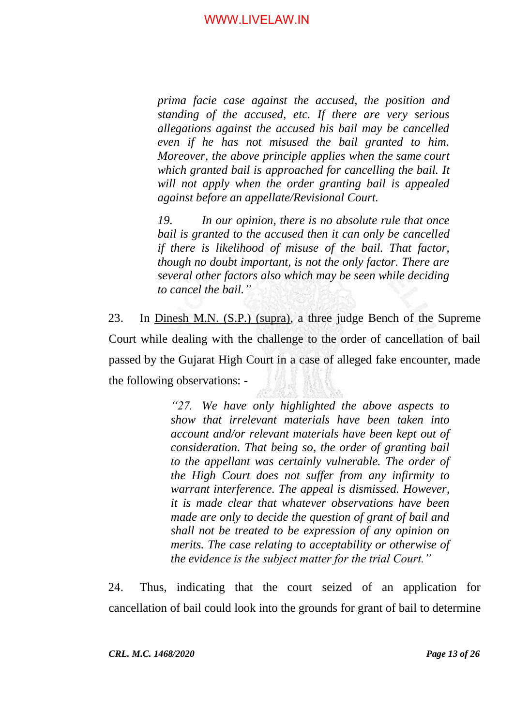*prima facie case against the accused, the position and standing of the accused, etc. If there are very serious allegations against the accused his bail may be cancelled even if he has not misused the bail granted to him. Moreover, the above principle applies when the same court which granted bail is approached for cancelling the bail. It will not apply when the order granting bail is appealed against before an appellate/Revisional Court.*

*19. In our opinion, there is no absolute rule that once bail is granted to the accused then it can only be cancelled if there is likelihood of misuse of the bail. That factor, though no doubt important, is not the only factor. There are several other factors also which may be seen while deciding to cancel the bail."*

23. In Dinesh M.N. (S.P.) (supra), a three judge Bench of the Supreme Court while dealing with the challenge to the order of cancellation of bail passed by the Gujarat High Court in a case of alleged fake encounter, made the following observations: -

> *"27. We have only highlighted the above aspects to show that irrelevant materials have been taken into account and/or relevant materials have been kept out of consideration. That being so, the order of granting bail to the appellant was certainly vulnerable. The order of the High Court does not suffer from any infirmity to warrant interference. The appeal is dismissed. However, it is made clear that whatever observations have been made are only to decide the question of grant of bail and shall not be treated to be expression of any opinion on merits. The case relating to acceptability or otherwise of the evidence is the subject matter for the trial Court."*

24. Thus, indicating that the court seized of an application for cancellation of bail could look into the grounds for grant of bail to determine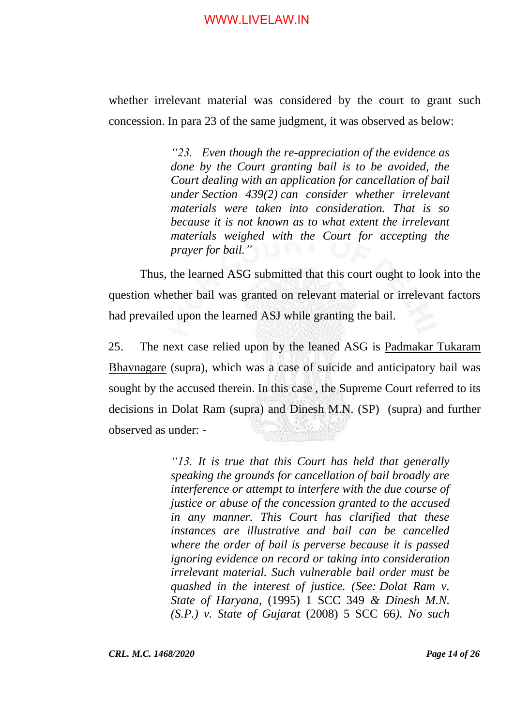whether irrelevant material was considered by the court to grant such concession. In para 23 of the same judgment, it was observed as below:

> *"23. Even though the re-appreciation of the evidence as done by the Court granting bail is to be avoided, the Court dealing with an application for cancellation of bail under [Section 439\(2\)](https://indiankanoon.org/doc/1934415/) can consider whether irrelevant materials were taken into consideration. That is so because it is not known as to what extent the irrelevant materials weighed with the Court for accepting the prayer for bail."*

Thus, the learned ASG submitted that this court ought to look into the question whether bail was granted on relevant material or irrelevant factors had prevailed upon the learned ASJ while granting the bail.

25. The next case relied upon by the leaned ASG is Padmakar Tukaram Bhavnagare (supra), which was a case of suicide and anticipatory bail was sought by the accused therein. In this case , the Supreme Court referred to its decisions in Dolat Ram (supra) and Dinesh M.N. (SP) (supra) and further observed as under: -

> *"13. It is true that this Court has held that generally speaking the grounds for cancellation of bail broadly are interference or attempt to interfere with the due course of justice or abuse of the concession granted to the accused in any manner. This Court has clarified that these instances are illustrative and bail can be cancelled where the order of bail is perverse because it is passed ignoring evidence on record or taking into consideration irrelevant material. Such vulnerable bail order must be quashed in the interest of justice. (See: [Dolat Ram v.](https://indiankanoon.org/doc/295232/)  [State of Haryana,](https://indiankanoon.org/doc/295232/)* (1995) 1 SCC 349 *& Dinesh M.N. (S.P.) v. State of Gujarat* (2008) 5 SCC 66*). No such*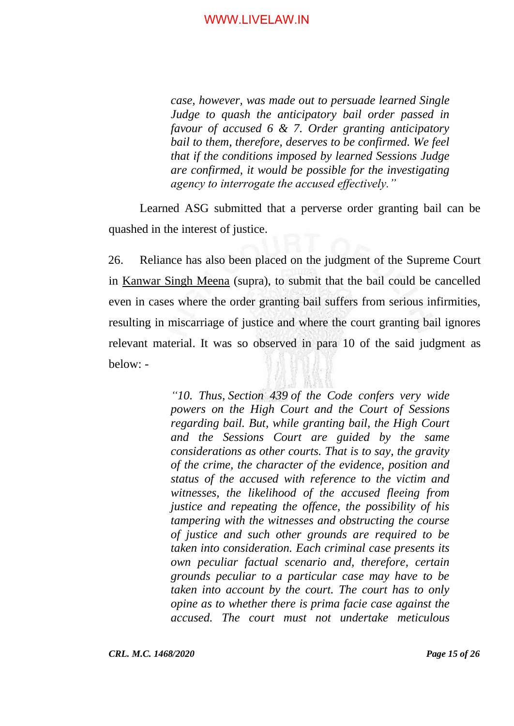*case, however, was made out to persuade learned Single Judge to quash the anticipatory bail order passed in favour of accused 6 & 7. Order granting anticipatory bail to them, therefore, deserves to be confirmed. We feel that if the conditions imposed by learned Sessions Judge are confirmed, it would be possible for the investigating agency to interrogate the accused effectively."*

Learned ASG submitted that a perverse order granting bail can be quashed in the interest of justice.

26. Reliance has also been placed on the judgment of the Supreme Court in Kanwar Singh Meena (supra), to submit that the bail could be cancelled even in cases where the order granting bail suffers from serious infirmities, resulting in miscarriage of justice and where the court granting bail ignores relevant material. It was so observed in para 10 of the said judgment as below: -

> *"10. Thus, [Section 439](https://indiankanoon.org/doc/1667941/) of the Code confers very wide powers on the High Court and the Court of Sessions regarding bail. But, while granting bail, the High Court and the Sessions Court are guided by the same considerations as other courts. That is to say, the gravity of the crime, the character of the evidence, position and status of the accused with reference to the victim and witnesses, the likelihood of the accused fleeing from justice and repeating the offence, the possibility of his tampering with the witnesses and obstructing the course of justice and such other grounds are required to be taken into consideration. Each criminal case presents its own peculiar factual scenario and, therefore, certain grounds peculiar to a particular case may have to be taken into account by the court. The court has to only opine as to whether there is prima facie case against the accused. The court must not undertake meticulous*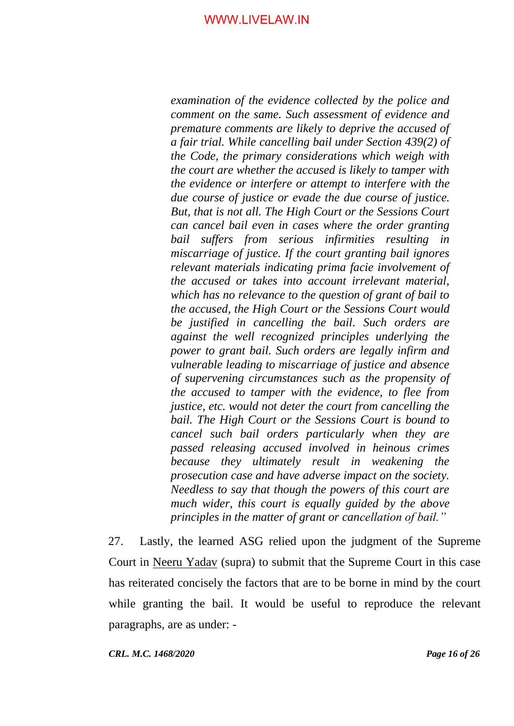*examination of the evidence collected by the police and comment on the same. Such assessment of evidence and premature comments are likely to deprive the accused of a fair trial. While cancelling bail under [Section 439\(2\)](https://indiankanoon.org/doc/1667941/) of the Code, the primary considerations which weigh with the court are whether the accused is likely to tamper with the evidence or interfere or attempt to interfere with the due course of justice or evade the due course of justice. But, that is not all. The High Court or the Sessions Court can cancel bail even in cases where the order granting bail suffers from serious infirmities resulting in miscarriage of justice. If the court granting bail ignores relevant materials indicating prima facie involvement of the accused or takes into account irrelevant material, which has no relevance to the question of grant of bail to the accused, the High Court or the Sessions Court would be justified in cancelling the bail. Such orders are against the well recognized principles underlying the power to grant bail. Such orders are legally infirm and vulnerable leading to miscarriage of justice and absence of supervening circumstances such as the propensity of the accused to tamper with the evidence, to flee from justice, etc. would not deter the court from cancelling the bail. The High Court or the Sessions Court is bound to cancel such bail orders particularly when they are passed releasing accused involved in heinous crimes because they ultimately result in weakening the prosecution case and have adverse impact on the society. Needless to say that though the powers of this court are much wider, this court is equally guided by the above principles in the matter of grant or cancellation of bail."*

27. Lastly, the learned ASG relied upon the judgment of the Supreme Court in Neeru Yadav (supra) to submit that the Supreme Court in this case has reiterated concisely the factors that are to be borne in mind by the court while granting the bail. It would be useful to reproduce the relevant paragraphs, are as under: -

*CRL. M.C. 1468/2020 Page 16 of 26*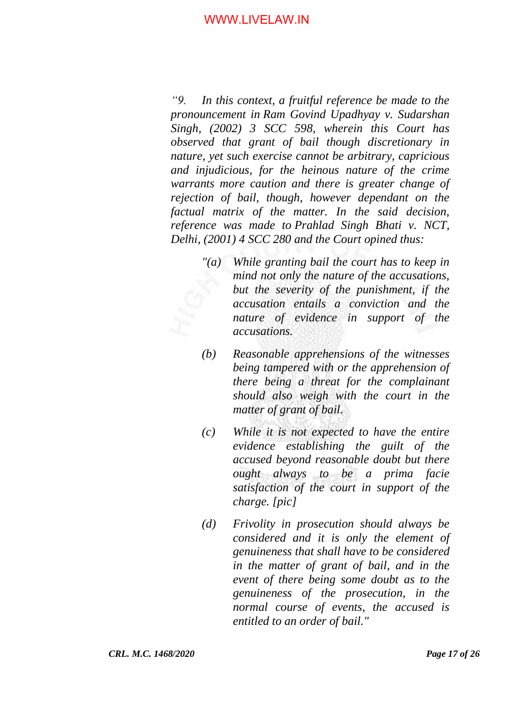*"9. In this context, a fruitful reference be made to the pronouncement in [Ram Govind Upadhyay v. Sudarshan](https://indiankanoon.org/doc/836557/)  [Singh,](https://indiankanoon.org/doc/836557/) (2002) 3 SCC 598, wherein this Court has observed that grant of bail though discretionary in nature, yet such exercise cannot be arbitrary, capricious and injudicious, for the heinous nature of the crime warrants more caution and there is greater change of rejection of bail, though, however dependant on the factual matrix of the matter. In the said decision, reference was made to [Prahlad Singh Bhati v. NCT,](https://indiankanoon.org/doc/1067439/)  [Delhi,](https://indiankanoon.org/doc/1067439/) (2001) 4 SCC 280 and the Court opined thus:*

- *"(a) While granting bail the court has to keep in mind not only the nature of the accusations, but the severity of the punishment, if the accusation entails a conviction and the nature of evidence in support of the accusations.*
- *(b) Reasonable apprehensions of the witnesses being tampered with or the apprehension of there being a threat for the complainant should also weigh with the court in the matter of grant of bail.*
- *(c) While it is not expected to have the entire evidence establishing the guilt of the accused beyond reasonable doubt but there ought always to be a prima facie satisfaction of the court in support of the charge. [pic]*
- *(d) Frivolity in prosecution should always be considered and it is only the element of genuineness that shall have to be considered in the matter of grant of bail, and in the event of there being some doubt as to the genuineness of the prosecution, in the normal course of events, the accused is entitled to an order of bail."*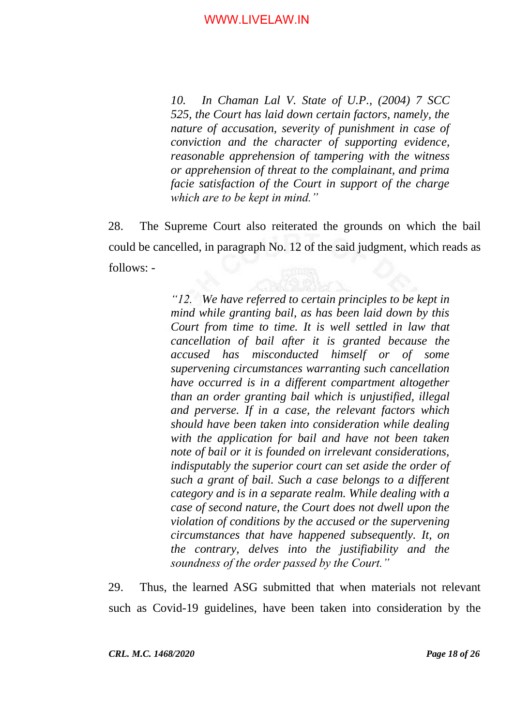*10. [In Chaman Lal V. State of U.P.](https://indiankanoon.org/doc/1870696/), (2004) 7 SCC 525, the Court has laid down certain factors, namely, the nature of accusation, severity of punishment in case of conviction and the character of supporting evidence, reasonable apprehension of tampering with the witness or apprehension of threat to the complainant, and prima facie satisfaction of the Court in support of the charge which are to be kept in mind."*

28. The Supreme Court also reiterated the grounds on which the bail could be cancelled, in paragraph No. 12 of the said judgment, which reads as follows: -

> *"12. We have referred to certain principles to be kept in mind while granting bail, as has been laid down by this Court from time to time. It is well settled in law that cancellation of bail after it is granted because the accused has misconducted himself or of some supervening circumstances warranting such cancellation have occurred is in a different compartment altogether than an order granting bail which is unjustified, illegal and perverse. If in a case, the relevant factors which should have been taken into consideration while dealing with the application for bail and have not been taken note of bail or it is founded on irrelevant considerations, indisputably the superior court can set aside the order of such a grant of bail. Such a case belongs to a different category and is in a separate realm. While dealing with a case of second nature, the Court does not dwell upon the violation of conditions by the accused or the supervening circumstances that have happened subsequently. It, on the contrary, delves into the justifiability and the soundness of the order passed by the Court."*

29. Thus, the learned ASG submitted that when materials not relevant such as Covid-19 guidelines, have been taken into consideration by the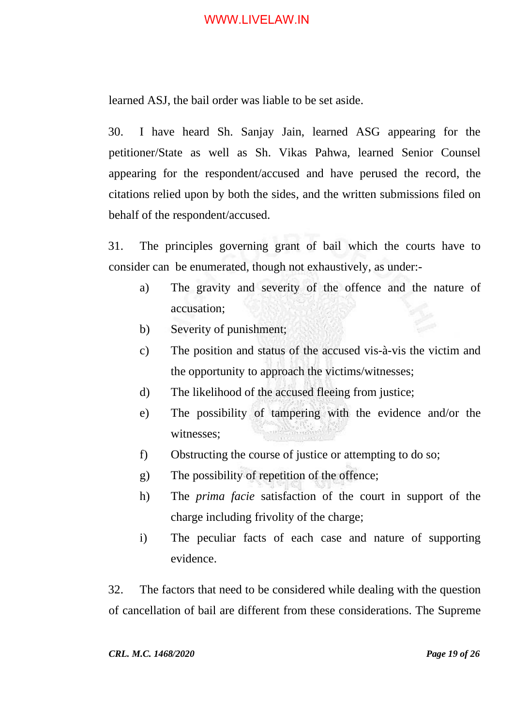learned ASJ, the bail order was liable to be set aside.

30. I have heard Sh. Sanjay Jain, learned ASG appearing for the petitioner/State as well as Sh. Vikas Pahwa, learned Senior Counsel appearing for the respondent/accused and have perused the record, the citations relied upon by both the sides, and the written submissions filed on behalf of the respondent/accused.

31. The principles governing grant of bail which the courts have to consider can be enumerated, though not exhaustively, as under:-

- a) The gravity and severity of the offence and the nature of accusation;
- b) Severity of punishment;
- c) The position and status of the accused vis-à-vis the victim and the opportunity to approach the victims/witnesses;
- d) The likelihood of the accused fleeing from justice;
- e) The possibility of tampering with the evidence and/or the witnesses;
- f) Obstructing the course of justice or attempting to do so;
- g) The possibility of repetition of the offence;
- h) The *prima facie* satisfaction of the court in support of the charge including frivolity of the charge;
- i) The peculiar facts of each case and nature of supporting evidence.

32. The factors that need to be considered while dealing with the question of cancellation of bail are different from these considerations. The Supreme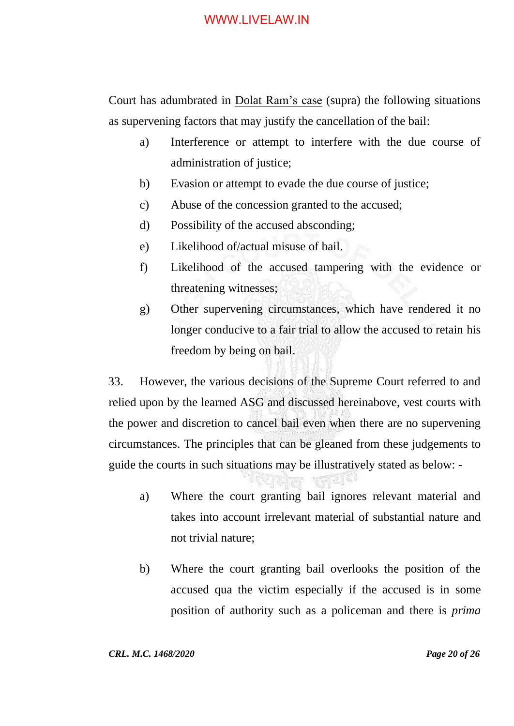Court has adumbrated in Dolat Ram's case (supra) the following situations as supervening factors that may justify the cancellation of the bail:

- a) Interference or attempt to interfere with the due course of administration of justice;
- b) Evasion or attempt to evade the due course of justice;
- c) Abuse of the concession granted to the accused;
- d) Possibility of the accused absconding;
- e) Likelihood of/actual misuse of bail.
- f) Likelihood of the accused tampering with the evidence or threatening witnesses;
- g) Other supervening circumstances, which have rendered it no longer conducive to a fair trial to allow the accused to retain his freedom by being on bail.

33. However, the various decisions of the Supreme Court referred to and relied upon by the learned ASG and discussed hereinabove, vest courts with the power and discretion to cancel bail even when there are no supervening circumstances. The principles that can be gleaned from these judgements to guide the courts in such situations may be illustratively stated as below: -

- a) Where the court granting bail ignores relevant material and takes into account irrelevant material of substantial nature and not trivial nature;
- b) Where the court granting bail overlooks the position of the accused qua the victim especially if the accused is in some position of authority such as a policeman and there is *prima*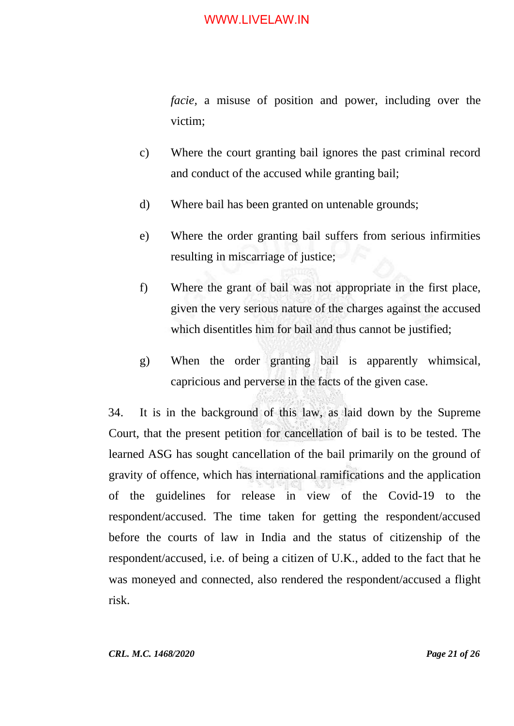*facie,* a misuse of position and power, including over the victim;

- c) Where the court granting bail ignores the past criminal record and conduct of the accused while granting bail;
- d) Where bail has been granted on untenable grounds;
- e) Where the order granting bail suffers from serious infirmities resulting in miscarriage of justice;
- f) Where the grant of bail was not appropriate in the first place, given the very serious nature of the charges against the accused which disentitles him for bail and thus cannot be justified;
- g) When the order granting bail is apparently whimsical, capricious and perverse in the facts of the given case.

34. It is in the background of this law, as laid down by the Supreme Court, that the present petition for cancellation of bail is to be tested. The learned ASG has sought cancellation of the bail primarily on the ground of gravity of offence, which has international ramifications and the application of the guidelines for release in view of the Covid-19 to the respondent/accused. The time taken for getting the respondent/accused before the courts of law in India and the status of citizenship of the respondent/accused, i.e. of being a citizen of U.K., added to the fact that he was moneyed and connected, also rendered the respondent/accused a flight risk.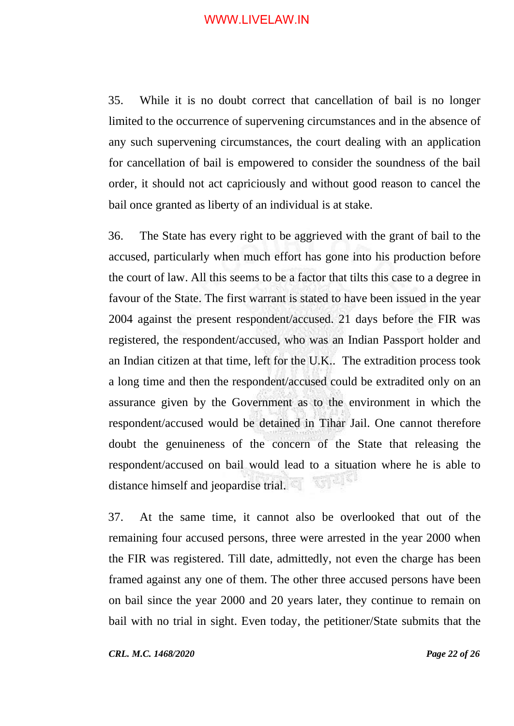35. While it is no doubt correct that cancellation of bail is no longer limited to the occurrence of supervening circumstances and in the absence of any such supervening circumstances, the court dealing with an application for cancellation of bail is empowered to consider the soundness of the bail order, it should not act capriciously and without good reason to cancel the bail once granted as liberty of an individual is at stake.

36. The State has every right to be aggrieved with the grant of bail to the accused, particularly when much effort has gone into his production before the court of law. All this seems to be a factor that tilts this case to a degree in favour of the State. The first warrant is stated to have been issued in the year 2004 against the present respondent/accused. 21 days before the FIR was registered, the respondent/accused, who was an Indian Passport holder and an Indian citizen at that time, left for the U.K.. The extradition process took a long time and then the respondent/accused could be extradited only on an assurance given by the Government as to the environment in which the respondent/accused would be detained in Tihar Jail. One cannot therefore doubt the genuineness of the concern of the State that releasing the respondent/accused on bail would lead to a situation where he is able to distance himself and jeopardise trial.

37. At the same time, it cannot also be overlooked that out of the remaining four accused persons, three were arrested in the year 2000 when the FIR was registered. Till date, admittedly, not even the charge has been framed against any one of them. The other three accused persons have been on bail since the year 2000 and 20 years later, they continue to remain on bail with no trial in sight. Even today, the petitioner/State submits that the

*CRL. M.C. 1468/2020 Page 22 of 26*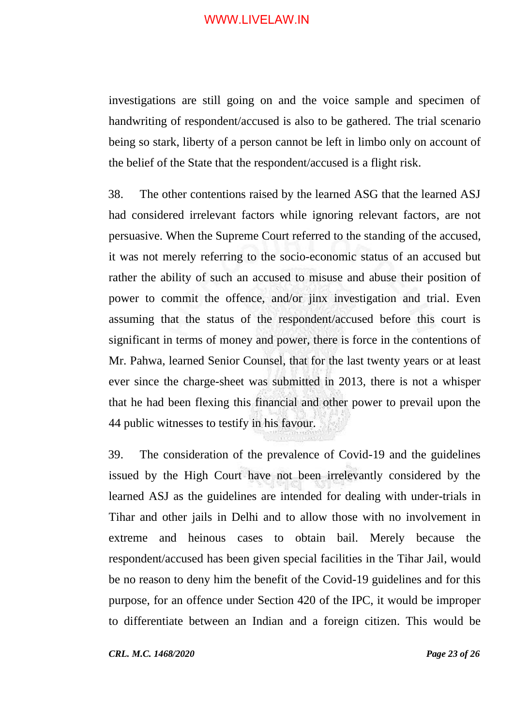investigations are still going on and the voice sample and specimen of handwriting of respondent/accused is also to be gathered. The trial scenario being so stark, liberty of a person cannot be left in limbo only on account of the belief of the State that the respondent/accused is a flight risk.

38. The other contentions raised by the learned ASG that the learned ASJ had considered irrelevant factors while ignoring relevant factors, are not persuasive. When the Supreme Court referred to the standing of the accused, it was not merely referring to the socio-economic status of an accused but rather the ability of such an accused to misuse and abuse their position of power to commit the offence, and/or jinx investigation and trial. Even assuming that the status of the respondent/accused before this court is significant in terms of money and power, there is force in the contentions of Mr. Pahwa, learned Senior Counsel, that for the last twenty years or at least ever since the charge-sheet was submitted in 2013, there is not a whisper that he had been flexing this financial and other power to prevail upon the 44 public witnesses to testify in his favour.

39. The consideration of the prevalence of Covid-19 and the guidelines issued by the High Court have not been irrelevantly considered by the learned ASJ as the guidelines are intended for dealing with under-trials in Tihar and other jails in Delhi and to allow those with no involvement in extreme and heinous cases to obtain bail. Merely because the respondent/accused has been given special facilities in the Tihar Jail, would be no reason to deny him the benefit of the Covid-19 guidelines and for this purpose, for an offence under Section 420 of the IPC, it would be improper to differentiate between an Indian and a foreign citizen. This would be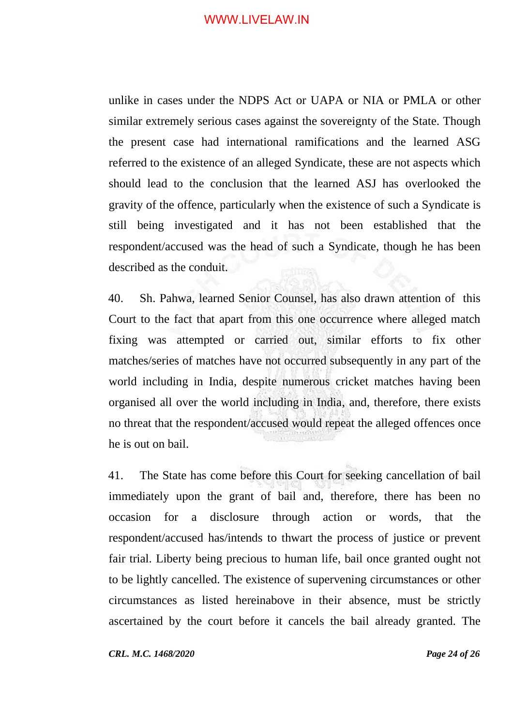unlike in cases under the NDPS Act or UAPA or NIA or PMLA or other similar extremely serious cases against the sovereignty of the State. Though the present case had international ramifications and the learned ASG referred to the existence of an alleged Syndicate, these are not aspects which should lead to the conclusion that the learned ASJ has overlooked the gravity of the offence, particularly when the existence of such a Syndicate is still being investigated and it has not been established that the respondent/accused was the head of such a Syndicate, though he has been described as the conduit.

40. Sh. Pahwa, learned Senior Counsel, has also drawn attention of this Court to the fact that apart from this one occurrence where alleged match fixing was attempted or carried out, similar efforts to fix other matches/series of matches have not occurred subsequently in any part of the world including in India, despite numerous cricket matches having been organised all over the world including in India, and, therefore, there exists no threat that the respondent/accused would repeat the alleged offences once he is out on bail.

41. The State has come before this Court for seeking cancellation of bail immediately upon the grant of bail and, therefore, there has been no occasion for a disclosure through action or words, that the respondent/accused has/intends to thwart the process of justice or prevent fair trial. Liberty being precious to human life, bail once granted ought not to be lightly cancelled. The existence of supervening circumstances or other circumstances as listed hereinabove in their absence, must be strictly ascertained by the court before it cancels the bail already granted. The

*CRL. M.C. 1468/2020 Page 24 of 26*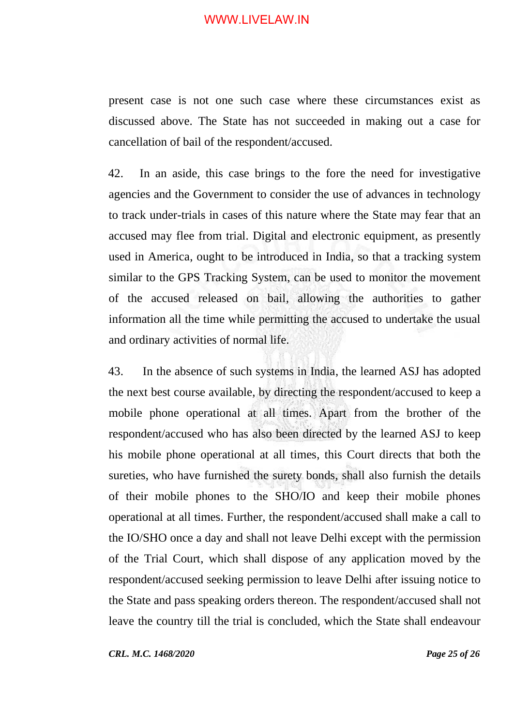present case is not one such case where these circumstances exist as discussed above. The State has not succeeded in making out a case for cancellation of bail of the respondent/accused.

42. In an aside, this case brings to the fore the need for investigative agencies and the Government to consider the use of advances in technology to track under-trials in cases of this nature where the State may fear that an accused may flee from trial. Digital and electronic equipment, as presently used in America, ought to be introduced in India, so that a tracking system similar to the GPS Tracking System, can be used to monitor the movement of the accused released on bail, allowing the authorities to gather information all the time while permitting the accused to undertake the usual and ordinary activities of normal life.

43. In the absence of such systems in India, the learned ASJ has adopted the next best course available, by directing the respondent/accused to keep a mobile phone operational at all times. Apart from the brother of the respondent/accused who has also been directed by the learned ASJ to keep his mobile phone operational at all times, this Court directs that both the sureties, who have furnished the surety bonds, shall also furnish the details of their mobile phones to the SHO/IO and keep their mobile phones operational at all times. Further, the respondent/accused shall make a call to the IO/SHO once a day and shall not leave Delhi except with the permission of the Trial Court, which shall dispose of any application moved by the respondent/accused seeking permission to leave Delhi after issuing notice to the State and pass speaking orders thereon. The respondent/accused shall not leave the country till the trial is concluded, which the State shall endeavour

*CRL. M.C. 1468/2020 Page 25 of 26*